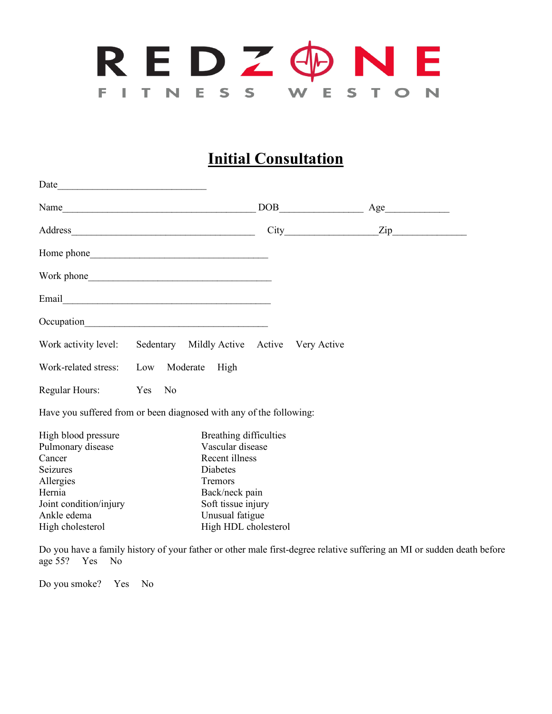

## **Initial Consultation**

| Date<br><u> 1989 - Johann Barn, mars ann an t-Amhain an t-Amhain an t-Amhain an t-Amhain an t-Amhain an t-Amhain an t-A</u> |  |                        |     |     |                  |
|-----------------------------------------------------------------------------------------------------------------------------|--|------------------------|-----|-----|------------------|
| Name                                                                                                                        |  |                        | DOB | Age |                  |
|                                                                                                                             |  |                        |     |     | $\mathsf{Zip}\_$ |
|                                                                                                                             |  |                        |     |     |                  |
|                                                                                                                             |  |                        |     |     |                  |
|                                                                                                                             |  |                        |     |     |                  |
|                                                                                                                             |  |                        |     |     |                  |
| Work activity level: Sedentary Mildly Active Active Very Active                                                             |  |                        |     |     |                  |
| Work-related stress: Low Moderate High                                                                                      |  |                        |     |     |                  |
| Regular Hours: Yes No                                                                                                       |  |                        |     |     |                  |
| Have you suffered from or been diagnosed with any of the following:                                                         |  |                        |     |     |                  |
| High blood pressure                                                                                                         |  | Breathing difficulties |     |     |                  |
| Pulmonary disease                                                                                                           |  | Vascular disease       |     |     |                  |
| Cancer                                                                                                                      |  | Recent illness         |     |     |                  |
| Seizures                                                                                                                    |  | Diabetes               |     |     |                  |
| Allergies                                                                                                                   |  | Tremors                |     |     |                  |
| Hernia                                                                                                                      |  | Back/neck pain         |     |     |                  |
| Joint condition/injury                                                                                                      |  | Soft tissue injury     |     |     |                  |
| Ankle edema                                                                                                                 |  | Unusual fatigue        |     |     |                  |
| High cholesterol                                                                                                            |  | High HDL cholesterol   |     |     |                  |

Do you have a family history of your father or other male first-degree relative suffering an MI or sudden death before age 55? Yes No

Do you smoke? Yes No